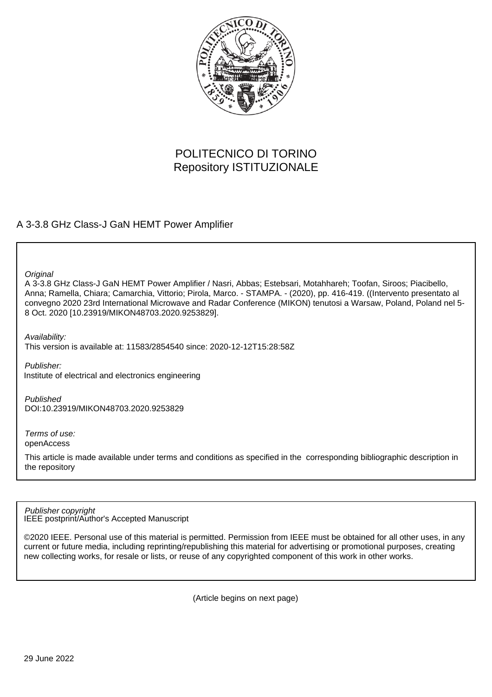

## POLITECNICO DI TORINO Repository ISTITUZIONALE

### A 3-3.8 GHz Class-J GaN HEMT Power Amplifier

**Original** 

A 3-3.8 GHz Class-J GaN HEMT Power Amplifier / Nasri, Abbas; Estebsari, Motahhareh; Toofan, Siroos; Piacibello, Anna; Ramella, Chiara; Camarchia, Vittorio; Pirola, Marco. - STAMPA. - (2020), pp. 416-419. ((Intervento presentato al convegno 2020 23rd International Microwave and Radar Conference (MIKON) tenutosi a Warsaw, Poland, Poland nel 5- 8 Oct. 2020 [10.23919/MIKON48703.2020.9253829].

Availability:

This version is available at: 11583/2854540 since: 2020-12-12T15:28:58Z

Publisher: Institute of electrical and electronics engineering

Published DOI:10.23919/MIKON48703.2020.9253829

Terms of use: openAccess

This article is made available under terms and conditions as specified in the corresponding bibliographic description in the repository

IEEE postprint/Author's Accepted Manuscript Publisher copyright

©2020 IEEE. Personal use of this material is permitted. Permission from IEEE must be obtained for all other uses, in any current or future media, including reprinting/republishing this material for advertising or promotional purposes, creating new collecting works, for resale or lists, or reuse of any copyrighted component of this work in other works.

(Article begins on next page)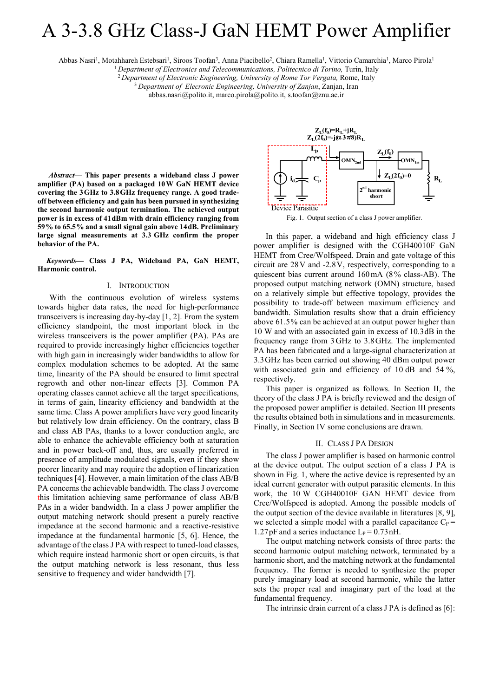# A 3-3.8 GHz Class-J GaN HEMT Power Amplifier

Abbas Nasri<sup>1</sup>, Motahhareh Estebsari<sup>1</sup>, Siroos Toofan<sup>3</sup>, Anna Piacibello<sup>2</sup>, Chiara Ramella<sup>1</sup>, Vittorio Camarchia<sup>1</sup>, Marco Pirola<sup>1</sup>

<sup>1</sup> Department of Electronics and Telecommunications, Politecnico di Torino, Turin, Italy <sup>2</sup> Department of Electronic Engineering, University of Rome Tor Vergata, Rome, Italy <sup>3</sup> Department of Elecronic Engineering, Univ

abbas.nasri@polito.it, marco.pirola@polito.it, s.toofan@znu.ac.ir

*Abstract***— This paper presents a wideband class J power amplifier (PA) based on a packaged 10W GaN HEMT device covering the 3GHz to 3.8GHz frequency range. A good tradeoff between efficiency and gain has been pursued in synthesizing the second harmonic output termination. The achieved output power is in excess of 41dBm with drain efficiency ranging from 59% to 65.5% and a small signal gain above 14dB. Preliminary large signal measurements at 3.3 GHz confirm the proper behavior of the PA.**

*Keywords***— Class J PA, Wideband PA, GaN HEMT, Harmonic control.** 

#### I. INTRODUCTION

With the continuous evolution of wireless systems towards higher data rates, the need for high-performance transceivers is increasing day-by-day [1, 2]. From the system efficiency standpoint, the most important block in the wireless transceivers is the power amplifier (PA). PAs are required to provide increasingly higher efficiencies together with high gain in increasingly wider bandwidths to allow for complex modulation schemes to be adopted. At the same time, linearity of the PA should be ensured to limit spectral regrowth and other non-linear effects [3]. Common PA operating classes cannot achieve all the target specifications, in terms of gain, linearity efficiency and bandwidth at the same time. Class A power amplifiers have very good linearity but relatively low drain efficiency. On the contrary, class B and class AB PAs, thanks to a lower conduction angle, are able to enhance the achievable efficiency both at saturation and in power back-off and, thus, are usually preferred in presence of amplitude modulated signals, even if they show poorer linearity and may require the adoption of linearization techniques [4]. However, a main limitation of the class AB/B PA concerns the achievable bandwidth. The class J overcome this limitation achieving same performance of class AB/B PAs in a wider bandwidth. In a class J power amplifier the output matching network should present a purely reactive impedance at the second harmonic and a reactive-resistive impedance at the fundamental harmonic [5, 6]. Hence, the advantage of the class J PA with respect to tuned-load classes, which require instead harmonic short or open circuits, is that the output matching network is less resonant, thus less sensitive to frequency and wider bandwidth [7].



Fig. 1. Output section of a class J power amplifier.

In this paper, a wideband and high efficiency class J power amplifier is designed with the CGH40010F GaN HEMT from Cree/Wolfspeed. Drain and gate voltage of this circuit are 28V and -2.8V, respectively, corresponding to a quiescent bias current around 160mA (8% class-AB). The proposed output matching network (OMN) structure, based on a relatively simple but effective topology, provides the possibility to trade-off between maximum efficiency and bandwidth. Simulation results show that a drain efficiency above 61.5% can be achieved at an output power higher than 10 W and with an associated gain in excess of 10.3dB in the frequency range from 3GHz to 3.8GHz. The implemented PA has been fabricated and a large-signal characterization at 3.3GHz has been carried out showing 40 dBm output power with associated gain and efficiency of 10 dB and 54 %, respectively.

This paper is organized as follows. In Section II, the theory of the class J PA is briefly reviewed and the design of the proposed power amplifier is detailed. Section III presents the results obtained both in simulations and in measurements. Finally, in Section IV some conclusions are drawn.

#### II. CLASS J PA DESIGN

The class J power amplifier is based on harmonic control at the device output. The output section of a class J PA is shown in Fig. 1, where the active device is represented by an ideal current generator with output parasitic elements. In this work, the 10 W CGH40010F GAN HEMT device from Cree/Wolfspeed is adopted. Among the possible models of the output section of the device available in literatures [8, 9], we selected a simple model with a parallel capacitance  $C_P$  = 1.27pF and a series inductance  $L_P = 0.73$  nH.

The output matching network consists of three parts: the second harmonic output matching network, terminated by a harmonic short, and the matching network at the fundamental frequency. The former is needed to synthesize the proper purely imaginary load at second harmonic, while the latter sets the proper real and imaginary part of the load at the fundamental frequency.

The intrinsic drain current of a class J PA is defined as [6]: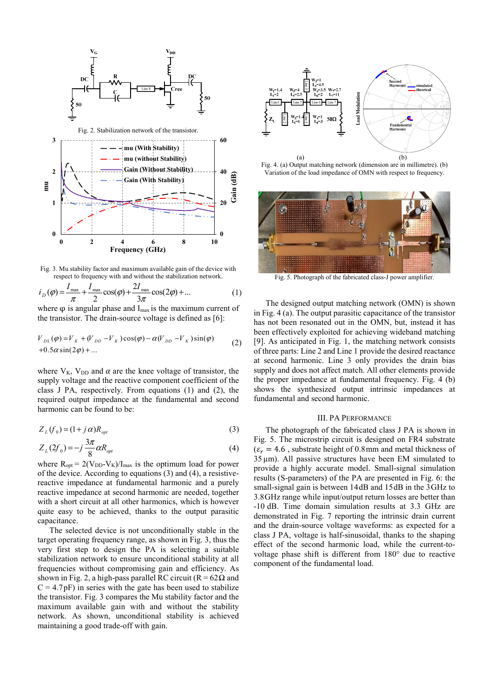

Fig. 3. Mu stability factor and maximum available gain of the device with respect to frequency with and without the stabilization network.

$$
i_{D}(\varphi) = \frac{I_{\max}}{\pi} + \frac{I_{\max}}{2}\cos(\varphi) + \frac{2I_{\max}}{3\pi}\cos(2\varphi) + ... \tag{1}
$$

where  $\varphi$  is angular phase and I<sub>max</sub> is the maximum current of the transistor. The drain-source voltage is defined as [6]:

$$
V_{DS}(\varphi) = V_K + (V_{DD} - V_K)\cos(\varphi) - \alpha(V_{DD} - V_K)\sin(\varphi)
$$
  
+0.5\alpha \sin(2\varphi) + ... (2)

where  $V_K$ ,  $V_{DD}$  and  $\alpha$  are the knee voltage of transistor, the supply voltage and the reactive component coefficient of the class J PA, respectively. From equations (1) and (2), the required output impedance at the fundamental and second harmonic can be found to be:

$$
Z_L(f_0) = (1 + j \alpha) R_{opt} \tag{3}
$$

$$
Z_L(2f_0) = -j\frac{3\pi}{8}\alpha R_{opt} \tag{4}
$$

where  $R_{opt} = 2(V_{DD}-V_K)/I_{max}$  is the optimum load for power of the device. According to equations (3) and (4), a resistivereactive impedance at fundamental harmonic and a purely reactive impedance at second harmonic are needed, together with a short circuit at all other harmonics, which is however quite easy to be achieved, thanks to the output parasitic capacitance.

The selected device is not unconditionally stable in the target operating frequency range, as shown in Fig. 3, thus the very first step to design the PA is selecting a suitable stabilization network to ensure unconditional stability at all frequencies without compromising gain and efficiency. As shown in Fig. 2, a high-pass parallel RC circuit ( $R = 62\Omega$  and  $C = 4.7pF$ ) in series with the gate has been used to stabilize the transistor. Fig. 3 compares the Mu stability factor and the maximum available gain with and without the stability network. As shown, unconditional stability is achieved maintaining a good trade-off with gain.



Fig. 4. (a) Output matching network (dimension are in millimetre). (b) Variation of the load impedance of OMN with respect to frequency.



Fig. 5. Photograph of the fabricated class-J power amplifier.

The designed output matching network (OMN) is shown in Fig. 4 (a). The output parasitic capacitance of the transistor has not been resonated out in the OMN, but, instead it has been effectively exploited for achieving wideband matching [9]. As anticipated in Fig. 1, the matching network consists of three parts: Line 2 and Line 1 provide the desired reactance at second harmonic. Line 3 only provides the drain bias supply and does not affect match. All other elements provide the proper impedance at fundamental frequency. Fig. 4 (b) shows the synthesized output intrinsic impedances at fundamental and second harmonic.

#### III. PA PERFORMANCE

The photograph of the fabricated class J PA is shown in Fig. 5. The microstrip circuit is designed on FR4 substrate  $(\varepsilon_r = 4.6$ , substrate height of 0.8mm and metal thickness of  $35 \,\mu$ m). All passive structures have been EM simulated to provide a highly accurate model. Small-signal simulation results (S-parameters) of the PA are presented in Fig. 6: the small-signal gain is between 14dB and 15dB in the 3GHz to 3.8GHz range while input/output return losses are better than -10 dB. Time domain simulation results at 3.3 GHz are demonstrated in Fig. 7 reporting the intrinsic drain current and the drain-source voltage waveforms: as expected for a class J PA, voltage is half-sinusoidal, thanks to the shaping effect of the second harmonic load, while the current-tovoltage phase shift is different from 180° due to reactive component of the fundamental load.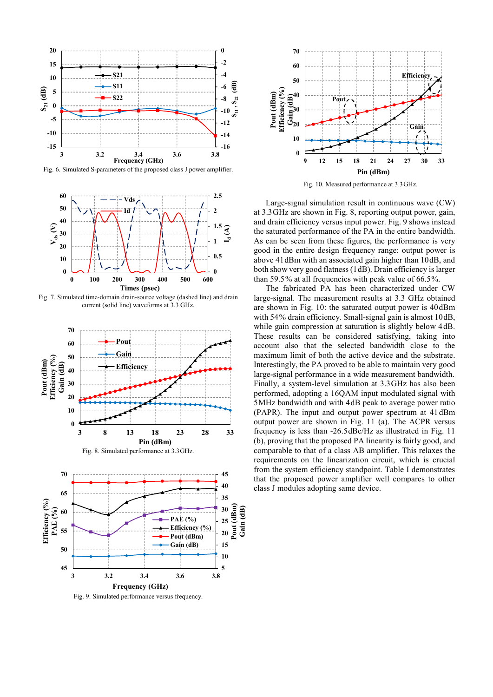

Fig. 6. Simulated S-parameters of the proposed class J power amplifier.



Fig. 7. Simulated time-domain drain-source voltage (dashed line) and drain current (solid line) waveforms at 3.3 GHz.





Fig. 9. Simulated performance versus frequency.



Fig. 10. Measured performance at 3.3GHz.

Large-signal simulation result in continuous wave (CW) at 3.3GHz are shown in Fig. 8, reporting output power, gain, and drain efficiency versus input power. Fig. 9 shows instead the saturated performance of the PA in the entire bandwidth. As can be seen from these figures, the performance is very good in the entire design frequency range: output power is above 41dBm with an associated gain higher than 10dB, and both show very good flatness (1dB). Drain efficiency is larger than 59.5% at all frequencies with peak value of 66.5%.

The fabricated PA has been characterized under CW large-signal. The measurement results at 3.3 GHz obtained are shown in Fig. 10: the saturated output power is 40dBm with 54% drain efficiency. Small-signal gain is almost 10dB, while gain compression at saturation is slightly below  $4dB$ . These results can be considered satisfying, taking into account also that the selected bandwidth close to the maximum limit of both the active device and the substrate. Interestingly, the PA proved to be able to maintain very good large-signal performance in a wide measurement bandwidth. Finally, a system-level simulation at 3.3GHz has also been performed, adopting a 16QAM input modulated signal with 5MHz bandwidth and with 4dB peak to average power ratio (PAPR). The input and output power spectrum at 41 dBm output power are shown in Fig. 11 (a). The ACPR versus frequency is less than -26.5dBc/Hz as illustrated in Fig. 11 (b), proving that the proposed PA linearity is fairly good, and comparable to that of a class AB amplifier. This relaxes the requirements on the linearization circuit, which is crucial from the system efficiency standpoint. Table I demonstrates that the proposed power amplifier well compares to other class J modules adopting same device.